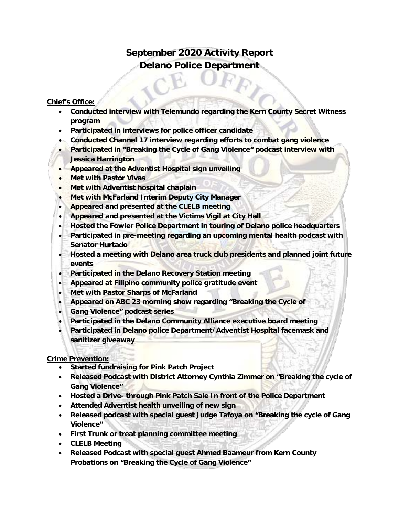# **September 2020 Activity Report Delano Police Department**

#### **Chief's Office:**

- **Conducted interview with Telemundo regarding the Kern County Secret Witness program**
- **Participated in interviews for police officer candidate**
- **Conducted Channel 17 interview regarding efforts to combat gang violence**
- **Participated in "Breaking the Cycle of Gang Violence" podcast interview with Jessica Harrington**
- **Appeared at the Adventist Hospital sign unveiling**
- **Met with Pastor Vivas**
- **Met with Adventist hospital chaplain**
- **Met with McFarland Interim Deputy City Manager**
- **Appeared and presented at the CLELB meeting**
- **Appeared and presented at the Victims Vigil at City Hall**
- **Hosted the Fowler Police Department in touring of Delano police headquarters**
- **Participated in pre-meeting regarding an upcoming mental health podcast with Senator Hurtado**
- **Hosted a meeting with Delano area truck club presidents and planned joint future events**
- **Participated in the Delano Recovery Station meeting**
- **Appeared at Filipino community police gratitude event**
- **Met with Pastor Sharps of McFarland**
- **Appeared on ABC 23 morning show regarding "Breaking the Cycle of**
- **Gang Violence" podcast series**
- **Participated in the Delano Community Alliance executive board meeting**
- **Participated in Delano police Department/Adventist Hospital facemask and sanitizer giveaway**

#### **Crime Prevention:**

- **Started fundraising for Pink Patch Project**
- **Released Podcast with District Attorney Cynthia Zimmer on "Breaking the cycle of Gang Violence"**
- **Hosted a Drive- through Pink Patch Sale In front of the Police Department**
- **Attended Adventist health unveiling of new sign**
- **Released podcast with special guest Judge Tafoya on "Breaking the cycle of Gang Violence"**
- **First Trunk or treat planning committee meeting**
- **CLELB Meeting**
- **Released Podcast with special guest Ahmed Baameur from Kern County Probations on "Breaking the Cycle of Gang Violence"**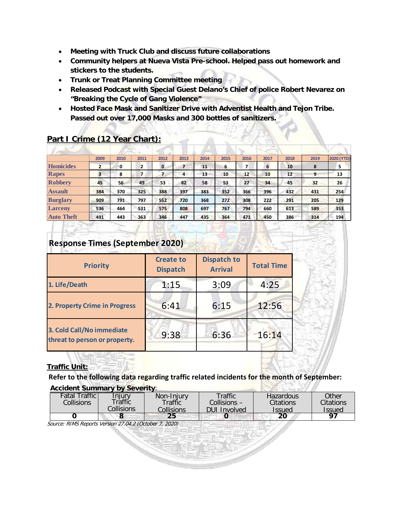- **Meeting with Truck Club and discuss future collaborations**
- **Community helpers at Nueva Vista Pre-school. Helped pass out homework and stickers to the students.**
- **Trunk or Treat Planning Committee meeting**
- **Released Podcast with Special Guest Delano's Chief of police Robert Nevarez on "Breaking the Cycle of Gang Violence"**
- **Hosted Face Mask and Sanitizer Drive with Adventist Health and Tejon Tribe. Passed out over 17,000 Masks and 300 bottles of sanitizers.**

|                   | 2009           | 2010 | 2011 | 2012         | 2013           | 2014 | 2015 | 2016 | 2017 | 2018 | 2019 | 2020 (YTD) |
|-------------------|----------------|------|------|--------------|----------------|------|------|------|------|------|------|------------|
| Homicides         | $\overline{2}$ | 0    | 2    | $\mathbf{0}$ | 7              | 11   | 6    | 7    | 6    | 10   | 8    | 5          |
| Rapes             | 3              | 8    | 7    |              | $\overline{a}$ | 13   | 10   | 12   | 10   | 12   | 9    | 13         |
| <b>Robbery</b>    | 45             | 56   | 49   | 53           | 82             | 58   | 53   | 27   | 34   | 45   | 32   | 26         |
| <b>Assault</b>    | 384            | 370  | 325  | 388          | 397            | 383  | 352  | 366  | 396  | 432  | 431  | 254        |
| <b>Burglary</b>   | 909            | 791  | 797  | 552          | 720            | 368  | 272  | 308  | 222  | 291  | 205  | 129        |
| Larceny           | 536            | 464  | 531  | 575          | 808            | 697  | 767  | 794  | 660  | 613  | 589  | 353        |
| <b>Auto Theft</b> | 491            | 443  | 363  | 346          | 447            | 435  | 364  | 471  | 450  | 386  | 314  | 194        |

### **Part I Crime (12 Year Chart):**

## **Response Times (September 2020)**

| <b>Priority</b>                                            | <b>Create to</b><br><b>Dispatch</b> | <b>Dispatch to</b><br><b>Arrival</b> | <b>Total Time</b> |  |  |
|------------------------------------------------------------|-------------------------------------|--------------------------------------|-------------------|--|--|
| 1. Life/Death                                              | 1:15                                | 3:09                                 | 4:25              |  |  |
| 2. Property Crime in Progress                              | 6:41                                | 6:15                                 | 12:56             |  |  |
| 3. Cold Call/No immediate<br>threat to person or property. | 9:38                                | 6:36                                 | 16:14             |  |  |

#### **Traffic Unit:**

**Refer to the following data regarding traffic related incidents for the month of September: Accident Summary by Severity**:

| $100100111$ Julietian , by Jovenny. |             |               |              |                  |           |  |  |  |  |
|-------------------------------------|-------------|---------------|--------------|------------------|-----------|--|--|--|--|
| <b>Fatal Traffic</b>                | Iniury      | Non-Injury    | Traffic      | <b>Hazardous</b> | Other     |  |  |  |  |
| Collisions <sup>'</sup>             | Traffic     | $\tau$ raffic | Collisions – | Citations        | Citations |  |  |  |  |
|                                     | collisions. | Collisions    | DUI Involved | <b>Issued</b>    | Issued    |  |  |  |  |
|                                     |             | 25            |              | 20               | 07        |  |  |  |  |

Source: RIMS Reports Version 27.04.2 (October 7, 2020)